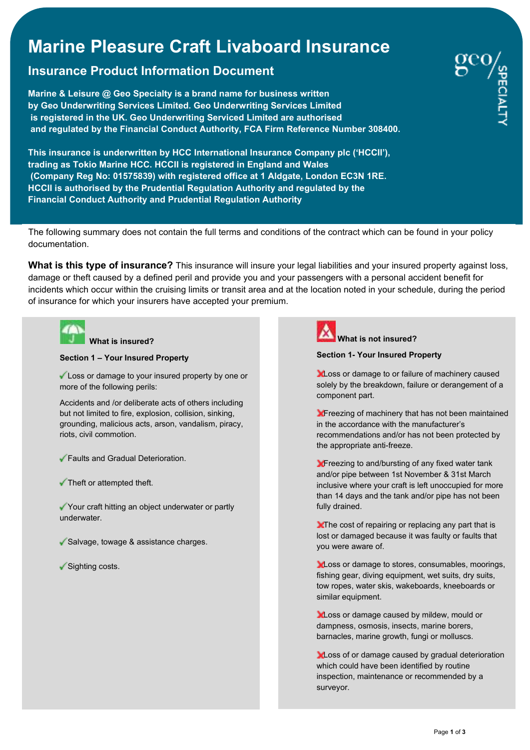# **Marine Pleasure Craft Livaboard Insurance**

# **Insurance Product Information Document**

**Marine & Leisure @ Geo Specialty is a brand name for business written by Geo Underwriting Services Limited. Geo Underwriting Services Limited is registered in the UK. Geo Underwriting Serviced Limited are authorised and regulated by the Financial Conduct Authority, FCA Firm Reference Number 308400.** 

**This insurance is underwritten by HCC International Insurance Company plc ('HCCII'), trading as Tokio Marine HCC. HCCII is registered in England and Wales (Company Reg No: 01575839) with registered office at 1 Aldgate, London EC3N 1RE. HCCII is authorised by the Prudential Regulation Authority and regulated by the Financial Conduct Authority and Prudential Regulation Authority**

The following summary does not contain the full terms and conditions of the contract which can be found in your policy documentation.

**What is this type of insurance?** This insurance will insure your legal liabilities and your insured property against loss, damage or theft caused by a defined peril and provide you and your passengers with a personal accident benefit for incidents which occur within the cruising limits or transit area and at the location noted in your schedule, during the period of insurance for which your insurers have accepted your premium.



### **What is insured?**

**Section 1 – Your Insured Property**

Loss or damage to your insured property by one or more of the following perils:

Accidents and /or deliberate acts of others including but not limited to fire, explosion, collision, sinking, grounding, malicious acts, arson, vandalism, piracy, riots, civil commotion.

- Faults and Gradual Deterioration.
- Theft or attempted theft.

Your craft hitting an object underwater or partly underwater.

- Salvage, towage & assistance charges.
- Sighting costs.



## **What is not insured?**

#### **Section 1- Your Insured Property**

**Loss or damage to or failure of machinery caused** solely by the breakdown, failure or derangement of a component part.

**X** Freezing of machinery that has not been maintained in the accordance with the manufacturer's recommendations and/or has not been protected by the appropriate anti-freeze.

**X** Freezing to and/bursting of any fixed water tank and/or pipe between 1st November & 31st March inclusive where your craft is left unoccupied for more than 14 days and the tank and/or pipe has not been fully drained.

**X**The cost of repairing or replacing any part that is lost or damaged because it was faulty or faults that you were aware of.

**Loss or damage to stores, consumables, moorings,** fishing gear, diving equipment, wet suits, dry suits, tow ropes, water skis, wakeboards, kneeboards or similar equipment.

**XLoss or damage caused by mildew, mould or** dampness, osmosis, insects, marine borers, barnacles, marine growth, fungi or molluscs.

**XLoss of or damage caused by gradual deterioration** which could have been identified by routine inspection, maintenance or recommended by a surveyor.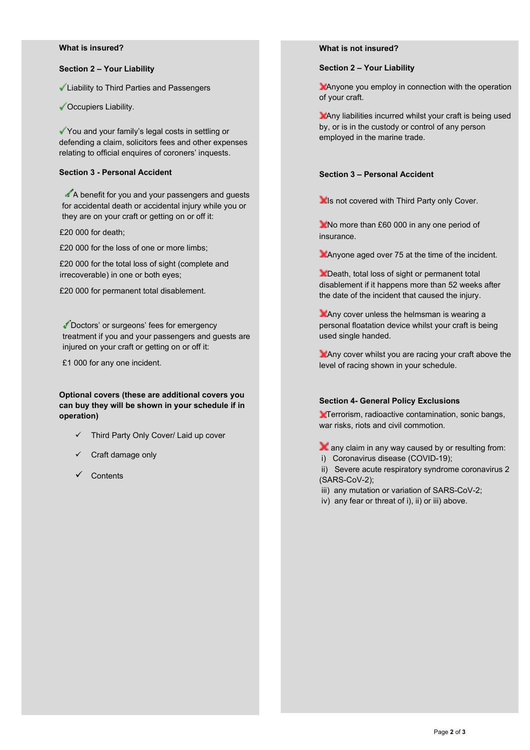#### **What is insured?**

#### **Section 2 – Your Liability**

Liability to Third Parties and Passengers

Cocupiers Liability.

You and your family's legal costs in settling or defending a claim, solicitors fees and other expenses relating to official enquires of coroners' inquests.

#### **Section 3 - Personal Accident**

 $\triangle$  A benefit for you and your passengers and quests for accidental death or accidental injury while you or they are on your craft or getting on or off it:

£20 000 for death;

£20 000 for the loss of one or more limbs;

£20 000 for the total loss of sight (complete and irrecoverable) in one or both eyes;

£20 000 for permanent total disablement.

Doctors' or surgeons' fees for emergency treatment if you and your passengers and guests are injured on your craft or getting on or off it:

£1 000 for any one incident.

#### **Optional covers (these are additional covers you can buy they will be shown in your schedule if in operation)**

- Third Party Only Cover/ Laid up cover
- Craft damage only
- $\checkmark$  Contents

#### **What is not insured?**

#### **Section 2 – Your Liability**

Anyone you employ in connection with the operation of your craft.

Any liabilities incurred whilst your craft is being used by, or is in the custody or control of any person employed in the marine trade.

#### **Section 3 – Personal Accident**

**Is not covered with Third Party only Cover.** 

No more than £60 000 in any one period of insurance.

Anyone aged over 75 at the time of the incident.

**X** Death, total loss of sight or permanent total disablement if it happens more than 52 weeks after the date of the incident that caused the injury.

**Any cover unless the helmsman is wearing a** personal floatation device whilst your craft is being used single handed.

Any cover whilst you are racing your craft above the level of racing shown in your schedule.

#### **Section 4- General Policy Exclusions**

**X**Terrorism, radioactive contamination, sonic bangs, war risks, riots and civil commotion.

 $\blacktriangleright$  any claim in any way caused by or resulting from:

i) Coronavirus disease (COVID-19);

 ii) Severe acute respiratory syndrome coronavirus 2 (SARS-CoV-2);

- iii) any mutation or variation of SARS-CoV-2;
- iv) any fear or threat of i), ii) or iii) above.